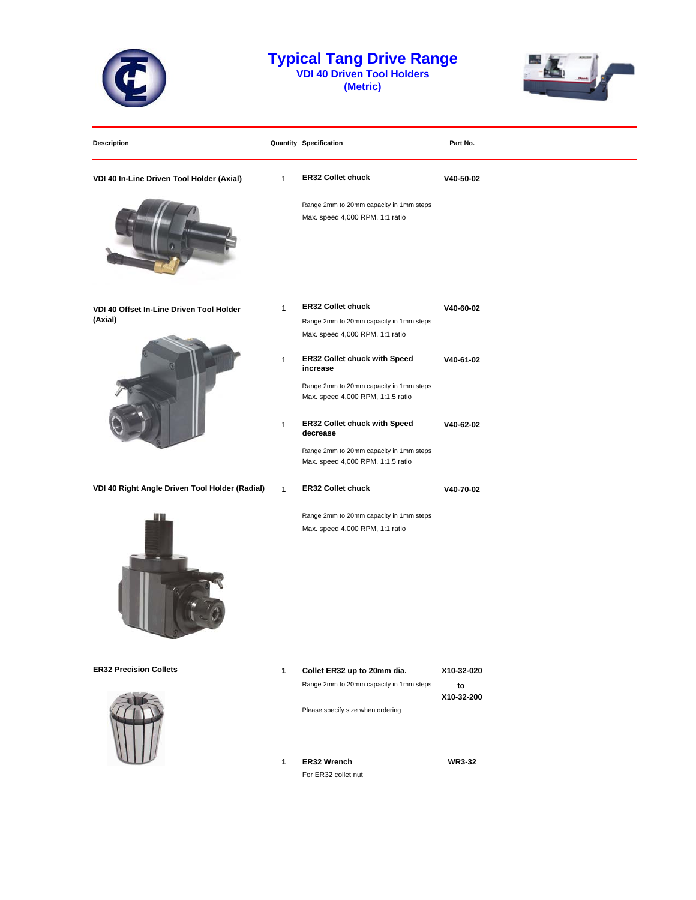

## **Typical Tang Drive Range VDI 40 Driven Tool Holders (Metric)**

 $m<sub>2</sub>$  $-15$ 

| <b>Description</b>                                  |              | <b>Quantity Specification</b>                                                | Part No.         |
|-----------------------------------------------------|--------------|------------------------------------------------------------------------------|------------------|
| VDI 40 In-Line Driven Tool Holder (Axial)           | $\mathbf{1}$ | <b>ER32 Collet chuck</b>                                                     | V40-50-02        |
|                                                     |              | Range 2mm to 20mm capacity in 1mm steps<br>Max. speed 4,000 RPM, 1:1 ratio   |                  |
| VDI 40 Offset In-Line Driven Tool Holder<br>(Axial) | $\mathbf{1}$ | <b>ER32 Collet chuck</b>                                                     | V40-60-02        |
|                                                     |              | Range 2mm to 20mm capacity in 1mm steps<br>Max. speed 4,000 RPM, 1:1 ratio   |                  |
|                                                     | 1            | ER32 Collet chuck with Speed<br>increase                                     | V40-61-02        |
|                                                     |              | Range 2mm to 20mm capacity in 1mm steps<br>Max. speed 4,000 RPM, 1:1.5 ratio |                  |
|                                                     | 1            | ER32 Collet chuck with Speed<br>decrease                                     | V40-62-02        |
|                                                     |              | Range 2mm to 20mm capacity in 1mm steps<br>Max. speed 4,000 RPM, 1:1.5 ratio |                  |
| VDI 40 Right Angle Driven Tool Holder (Radial)      | $\mathbf{1}$ | <b>ER32 Collet chuck</b>                                                     | V40-70-02        |
|                                                     |              | Range 2mm to 20mm capacity in 1mm steps<br>Max. speed 4,000 RPM, 1:1 ratio   |                  |
| <b>ER32 Precision Collets</b>                       | $\mathbf{1}$ | Collet ER32 up to 20mm dia.                                                  | X10-32-020       |
|                                                     |              | Range 2mm to 20mm capacity in 1mm steps                                      | to<br>X10-32-200 |
|                                                     |              | Please specify size when ordering                                            |                  |
|                                                     | 1            | ER32 Wrench<br>For ER32 collet nut                                           | <b>WR3-32</b>    |
|                                                     |              |                                                                              |                  |